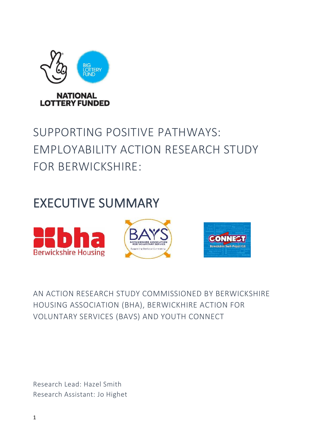

# SUPPORTING POSITIVE PATHWAYS: EMPLOYABILITY ACTION RESEARCH STUDY FOR BERWICKSHIRE:

# EXECUTIVE SUMMARY



# AN ACTION RESEARCH STUDY COMMISSIONED BY BERWICKSHIRE HOUSING ASSOCIATION (BHA), BERWICKHIRE ACTION FOR VOLUNTARY SERVICES (BAVS) AND YOUTH CONNECT

Research Lead: Hazel Smith Research Assistant: Jo Highet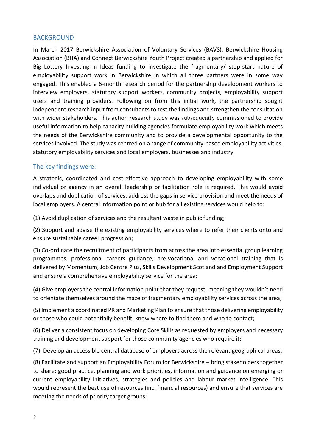#### BACKGROUND

In March 2017 Berwickshire Association of Voluntary Services (BAVS), Berwickshire Housing Association (BHA) and Connect Berwickshire Youth Project created a partnership and applied for Big Lottery Investing in Ideas funding to investigate the fragmentary/ stop-start nature of employability support work in Berwickshire in which all three partners were in some way engaged. This enabled a 6-month research period for the partnership development workers to interview employers, statutory support workers, community projects, employability support users and training providers. Following on from this initial work, the partnership sought independent research input from consultants to test the findings and strengthen the consultation with wider stakeholders. This action research study was subsequently commissioned to provide useful information to help capacity building agencies formulate employability work which meets the needs of the Berwickshire community and to provide a developmental opportunity to the services involved. The study was centred on a range of community-based employability activities, statutory employability services and local employers, businesses and industry.

## The key findings were:

A strategic, coordinated and cost-effective approach to developing employability with some individual or agency in an overall leadership or facilitation role is required. This would avoid overlaps and duplication of services, address the gaps in service provision and meet the needs of local employers. A central information point or hub for all existing services would help to:

(1) Avoid duplication of services and the resultant waste in public funding;

(2) Support and advise the existing employability services where to refer their clients onto and ensure sustainable career progression;

(3) Co-ordinate the recruitment of participants from across the area into essential group learning programmes, professional careers guidance, pre-vocational and vocational training that is delivered by Momentum, Job Centre Plus, Skills Development Scotland and Employment Support and ensure a comprehensive employability service for the area;

(4) Give employers the central information point that they request, meaning they wouldn't need to orientate themselves around the maze of fragmentary employability services across the area;

(5) Implement a coordinated PR and Marketing Plan to ensure that those delivering employability or those who could potentially benefit, know where to find them and who to contact;

(6) Deliver a consistent focus on developing Core Skills as requested by employers and necessary training and development support for those community agencies who require it;

(7) Develop an accessible central database of employers across the relevant geographical areas;

(8) Facilitate and support an Employability Forum for Berwickshire – bring stakeholders together to share: good practice, planning and work priorities, information and guidance on emerging or current employability initiatives; strategies and policies and labour market intelligence. This would represent the best use of resources (inc. financial resources) and ensure that services are meeting the needs of priority target groups;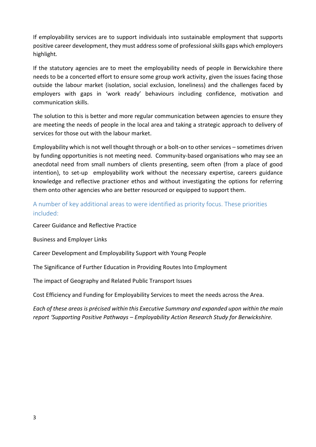If employability services are to support individuals into sustainable employment that supports positive career development, they must address some of professional skills gaps which employers highlight*.*

If the statutory agencies are to meet the employability needs of people in Berwickshire there needs to be a concerted effort to ensure some group work activity, given the issues facing those outside the labour market (isolation, social exclusion, loneliness) and the challenges faced by employers with gaps in 'work ready' behaviours including confidence, motivation and communication skills.

The solution to this is better and more regular communication between agencies to ensure they are meeting the needs of people in the local area and taking a strategic approach to delivery of services for those out with the labour market.

Employability which is not well thought through or a bolt-on to other services – sometimes driven by funding opportunities is not meeting need. Community-based organisations who may see an anecdotal need from small numbers of clients presenting, seem often (from a place of good intention), to set-up employability work without the necessary expertise, careers guidance knowledge and reflective practioner ethos and without investigating the options for referring them onto other agencies who are better resourced or equipped to support them.

# A number of key additional areas to were identified as priority focus. These priorities included:

Career Guidance and Reflective Practice

Business and Employer Links

Career Development and Employability Support with Young People

The Significance of Further Education in Providing Routes Into Employment

The impact of Geography and Related Public Transport Issues

Cost Efficiency and Funding for Employability Services to meet the needs across the Area.

*Each of these areas is précised within this Executive Summary and expanded upon within the main report 'Supporting Positive Pathways – Employability Action Research Study for Berwickshire.*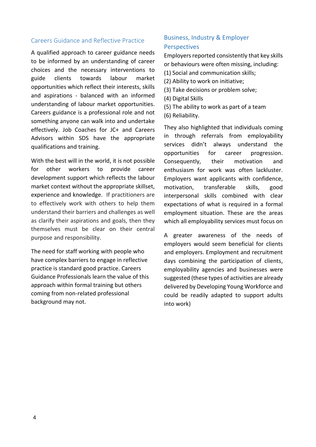### Careers Guidance and Reflective Practice

A qualified approach to career guidance needs to be informed by an understanding of career choices and the necessary interventions to guide clients towards labour market opportunities which reflect their interests, skills and aspirations - balanced with an informed understanding of labour market opportunities. Careers guidance is a professional role and not something anyone can walk into and undertake effectively. Job Coaches for JC+ and Careers Advisors within SDS have the appropriate qualifications and training.

With the best will in the world, it is not possible for other workers to provide career development support which reflects the labour market context without the appropriate skillset, experience and knowledge. If practitioners are to effectively work with others to help them understand their barriers and challenges as well as clarify their aspirations and goals, then they themselves must be clear on their central purpose and responsibility.

The need for staff working with people who have complex barriers to engage in reflective practice is standard good practice. Careers Guidance Professionals learn the value of this approach within formal training but others coming from non-related professional background may not.

# Business, Industry & Employer Perspectives

Employers reported consistently that key skills or behaviours were often missing, including:

- (1) Social and communication skills;
- (2) Ability to work on initiative;
- (3) Take decisions or problem solve;
- (4) Digital Skills
- (5) The ability to work as part of a team
- (6) Reliability.

They also highlighted that individuals coming in through referrals from employability services didn't always understand the opportunities for career progression. Consequently, their motivation and enthusiasm for work was often lackluster. Employers want applicants with confidence, motivation, transferable skills, good interpersonal skills combined with clear expectations of what is required in a formal employment situation. These are the areas which all employability services must focus on

A greater awareness of the needs of employers would seem beneficial for clients and employers. Employment and recruitment days combining the participation of clients, employability agencies and businesses were suggested (these types of activities are already delivered by Developing Young Workforce and could be readily adapted to support adults into work)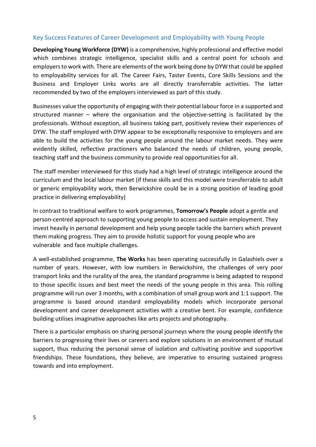### Key Success Features of Career Development and Employability with Young People

**Developing Young Workforce (DYW)** is a comprehensive, highly professional and effective model which combines strategic intelligence, specialist skills and a central point for schools and employers to work with. There are elements of the work being done by DYW that could be applied to employability services for all. The Career Fairs, Taster Events, Core Skills Sessions and the Business and Employer Links works are all directly transferrable activities. The latter recommended by two of the employers interviewed as part of this study.

Businesses value the opportunity of engaging with their potential labour force in a supported and structured manner – where the organisation and the objective-setting is facilitated by the professionals. Without exception, all business taking part, positively review their experiences of DYW. The staff employed with DYW appear to be exceptionally responsive to employers and are able to build the activities for the young people around the labour market needs. They were evidently skilled, reflective practioners who balanced the needs of children, young people, teaching staff and the business community to provide real opportunities for all.

The staff member interviewed for this study had a high level of strategic intelligence around the curriculum and the local labour market (if these skills and this model were transferrable to adult or generic employability work, then Berwickshire could be in a strong position of leading good practice in delivering employability)

In contrast to traditional welfare to work programmes, **Tomorrow's People** adopt a gentle and person-centred approach to supporting young people to access and sustain employment. They invest heavily in personal development and help young people tackle the barriers which prevent them making progress. They aim to provide holistic support for young people who are vulnerable and face multiple challenges.

A well-established programme, **The Works** has been operating successfully in Galashiels over a number of years. However, with low numbers in Berwickshire, the challenges of very poor transport links and the rurality of the area, the standard programme is being adapted to respond to those specific issues and best meet the needs of the young people in this area. This rolling programme will run over 3 months, with a combination of small group work and 1:1 support. The programme is based around standard employability models which incorporate personal development and career development activities with a creative bent. For example, confidence building utilises imaginative approaches like arts projects and photography.

There is a particular emphasis on sharing personal journeys where the young people identify the barriers to progressing their lives or careers and explore solutions in an environment of mutual support, thus reducing the personal sense of isolation and cultivating positive and supportive friendships. These foundations, they believe, are imperative to ensuring sustained progress towards and into employment.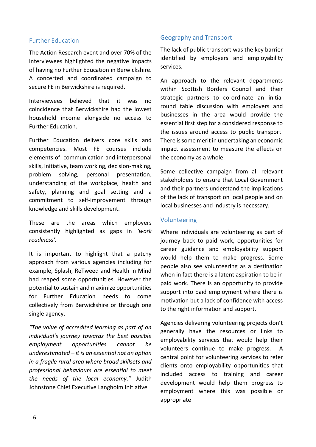### Further Education

The Action Research event and over 70% of the interviewees highlighted the negative impacts of having no Further Education in Berwickshire. A concerted and coordinated campaign to secure FE in Berwickshire is required.

Interviewees believed that it was no coincidence that Berwickshire had the lowest household income alongside no access to Further Education.

Further Education delivers core skills and competencies. Most FE courses include elements of: communication and interpersonal skills, initiative, team working, decision-making, problem solving, personal presentation, understanding of the workplace, health and safety, planning and goal setting and a commitment to self-improvement through knowledge and skills development.

These are the areas which employers consistently highlighted as gaps in *'work readiness'.* 

It is important to highlight that a patchy approach from various agencies including for example, Splash, ReTweed and Health in Mind had reaped some opportunities. However the potential to sustain and maximize opportunities for Further Education needs to come collectively from Berwickshire or through one single agency.

*"The value of accredited learning as part of an individual's journey towards the best possible employment opportunities cannot be underestimated – it is an essential not an option in a fragile rural area where broad skillsets and professional behaviours are essential to meet the needs of the local economy."* Judith Johnstone Chief Executive Langholm Initiative

#### Geography and Transport

The lack of public transport was the key barrier identified by employers and employability services.

An approach to the relevant departments within Scottish Borders Council and their strategic partners to co-ordinate an initial round table discussion with employers and businesses in the area would provide the essential first step for a considered response to the issues around access to public transport. There is some merit in undertaking an economic impact assessment to measure the effects on the economy as a whole.

Some collective campaign from all relevant stakeholders to ensure that Local Government and their partners understand the implications of the lack of transport on local people and on local businesses and industry is necessary.

#### Volunteering

Where individuals are volunteering as part of journey back to paid work, opportunities for career guidance and employability support would help them to make progress. Some people also see volunteering as a destination when in fact there is a latent aspiration to be in paid work. There is an opportunity to provide support into paid employment where there is motivation but a lack of confidence with access to the right information and support.

Agencies delivering volunteering projects don't generally have the resources or links to employability services that would help their volunteers continue to make progress. A central point for volunteering services to refer clients onto employability opportunities that included access to training and career development would help them progress to employment where this was possible or appropriate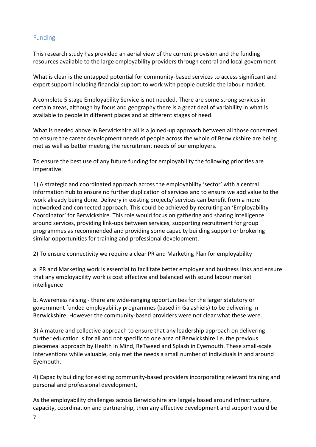# Funding

This research study has provided an aerial view of the current provision and the funding resources available to the large employability providers through central and local government

What is clear is the untapped potential for community-based services to access significant and expert support including financial support to work with people outside the labour market.

A complete 5 stage Employability Service is not needed. There are some strong services in certain areas, although by focus and geography there is a great deal of variability in what is available to people in different places and at different stages of need.

What is needed above in Berwickshire all is a joined-up approach between all those concerned to ensure the career development needs of people across the whole of Berwickshire are being met as well as better meeting the recruitment needs of our employers.

To ensure the best use of any future funding for employability the following priorities are imperative:

1) A strategic and coordinated approach across the employability 'sector' with a central information hub to ensure no further duplication of services and to ensure we add value to the work already being done. Delivery in existing projects/ services can benefit from a more networked and connected approach. This could be achieved by recruiting an 'Employability Coordinator' for Berwickshire. This role would focus on gathering and sharing intelligence around services, providing link-ups between services, supporting recruitment for group programmes as recommended and providing some capacity building support or brokering similar opportunities for training and professional development.

2) To ensure connectivity we require a clear PR and Marketing Plan for employability

a. PR and Marketing work is essential to facilitate better employer and business links and ensure that any employability work is cost effective and balanced with sound labour market intelligence

b. Awareness raising - there are wide-ranging opportunities for the larger statutory or government funded employability programmes (based in Galashiels) to be delivering in Berwickshire. However the community-based providers were not clear what these were.

3) A mature and collective approach to ensure that any leadership approach on delivering further education is for all and not specific to one area of Berwickshire i.e. the previous piecemeal approach by Health in Mind, ReTweed and Splash in Eyemouth. These small-scale interventions while valuable, only met the needs a small number of individuals in and around Eyemouth.

4) Capacity building for existing community-based providers incorporating relevant training and personal and professional development,

As the employability challenges across Berwickshire are largely based around infrastructure, capacity, coordination and partnership, then any effective development and support would be